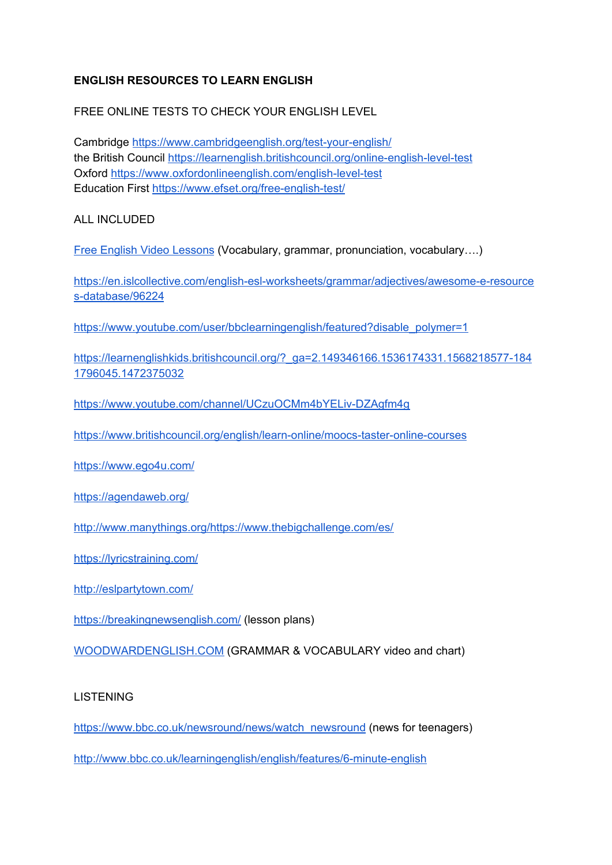# **ENGLISH RESOURCES TO LEARN ENGLISH**

FREE ONLINE TESTS TO CHECK YOUR ENGLISH LEVEL

Cambridge <https://www.cambridgeenglish.org/test-your-english/> the British Council <https://learnenglish.britishcouncil.org/online-english-level-test> Oxford <https://www.oxfordonlineenglish.com/english-level-test> Education First <https://www.efset.org/free-english-test/>

ALL INCLUDED

Free English Video [Lessons](https://www.engvid.com/) (Vocabulary, grammar, pronunciation, vocabulary….)

[https://en.islcollective.com/english-esl-worksheets/grammar/adjectives/awesome-e-resource](https://en.islcollective.com/english-esl-worksheets/grammar/adjectives/awesome-e-resources-database/96224) [s-database/96224](https://en.islcollective.com/english-esl-worksheets/grammar/adjectives/awesome-e-resources-database/96224)

[https://www.youtube.com/user/bbclearningenglish/featured?disable\\_polymer=1](https://www.youtube.com/user/bbclearningenglish/featured?disable_polymer=1)

[https://learnenglishkids.britishcouncil.org/?\\_ga=2.149346166.1536174331.1568218577-184](https://learnenglishkids.britishcouncil.org/?_ga=2.149346166.1536174331.1568218577-1841796045.1472375032) [1796045.1472375032](https://learnenglishkids.britishcouncil.org/?_ga=2.149346166.1536174331.1568218577-1841796045.1472375032)

<https://www.youtube.com/channel/UCzuOCMm4bYELiv-DZAgfm4g>

<https://www.britishcouncil.org/english/learn-online/moocs-taster-online-courses>

<https://www.ego4u.com/>

<https://agendaweb.org/>

<http://www.manythings.org/>[https://www.thebigchallenge.com/es/](https://gamezone.thebigchallenge.com/?lang=es)

<https://lyricstraining.com/>

<http://eslpartytown.com/>

<https://breakingnewsenglish.com/> (lesson plans)

[WOODWARDENGLISH.COM](https://www.woodwardenglish.com/course/english/) (GRAMMAR & VOCABULARY video and chart)

### LISTENING

[https://www.bbc.co.uk/newsround/news/watch\\_newsround](https://www.bbc.co.uk/newsround/news/watch_newsround) (news for teenagers)

<http://www.bbc.co.uk/learningenglish/english/features/6-minute-english>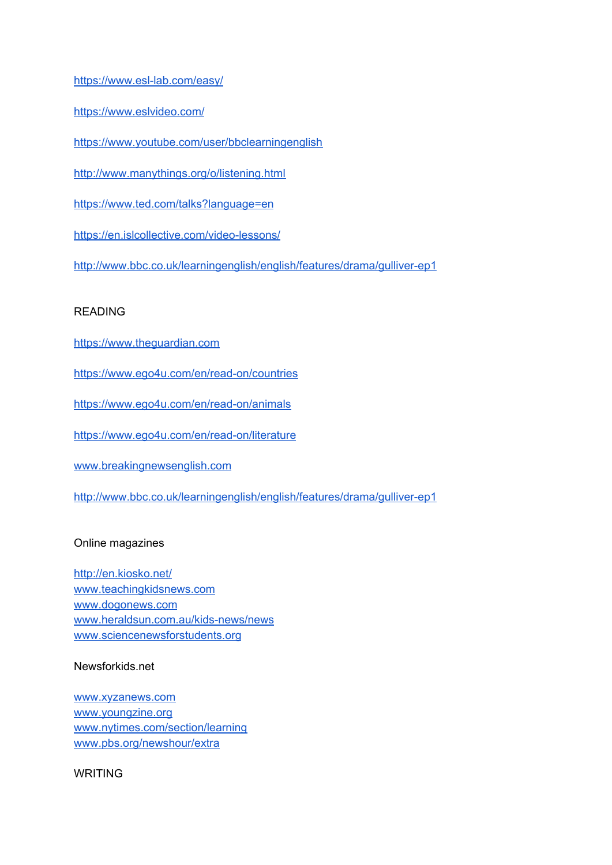<https://www.esl-lab.com/easy/>

<https://www.eslvideo.com/>

<https://www.youtube.com/user/bbclearningenglish>

<http://www.manythings.org/o/listening.html>

<https://www.ted.com/talks?language=en>

<https://en.islcollective.com/video-lessons/>

<http://www.bbc.co.uk/learningenglish/english/features/drama/gulliver-ep1>

### READING

[https://www.theguardian.com](https://www.theguardian.com/)

<https://www.ego4u.com/en/read-on/countries>

<https://www.ego4u.com/en/read-on/animals>

<https://www.ego4u.com/en/read-on/literature>

[www.breakingnewsenglish.com](http://www.breakingnewsenglish.com/)

<http://www.bbc.co.uk/learningenglish/english/features/drama/gulliver-ep1>

### Online magazines

<http://en.kiosko.net/> [www.teachingkidsnews.com](http://www.teachingkidsnews.com/) [www.dogonews.com](http://www.dogonews.com/) [www.heraldsun.com.au/kids-news/news](http://www.heraldsun.com.au/kids-news/news) [www.sciencenewsforstudents.org](http://www.sciencenewsforstudents.org/)

Newsforkids.net

[www.xyzanews.com](http://www.xyzanews.com/) [www.youngzine.org](http://www.youngzine.org/) [www.nytimes.com/section/learning](http://www.nytimes.com/section/learning) [www.pbs.org/newshour/extra](http://www.pbs.org/newshour/extra)

WRITING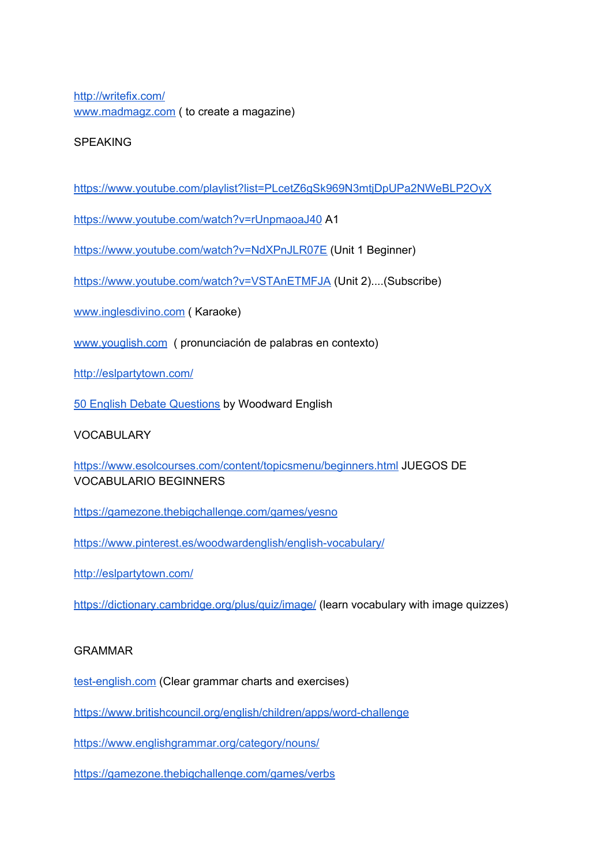<http://writefix.com/> [www.madmagz.com](http://www.madmagz.com/) ( to create a magazine)

### SPEAKING

<https://www.youtube.com/playlist?list=PLcetZ6gSk969N3mtjDpUPa2NWeBLP2OyX>

<https://www.youtube.com/watch?v=rUnpmaoaJ40> A1

<https://www.youtube.com/watch?v=NdXPnJLR07E> (Unit 1 Beginner)

<https://www.youtube.com/watch?v=VSTAnETMFJA> (Unit 2)....(Subscribe)

[www.inglesdivino.com](http://www.inglesdivino.com/) ( Karaoke)

[www.youglish.com](http://www.youglish.com/) ( pronunciación de palabras en contexto)

<http://eslpartytown.com/>

50 English Debate [Questions](https://www.woodwardenglish.com/50-english-debate-questions-teacher-resource/) by Woodward English

### VOCABULARY

<https://www.esolcourses.com/content/topicsmenu/beginners.html> JUEGOS DE VOCABULARIO BEGINNERS

<https://gamezone.thebigchallenge.com/games/yesno>

<https://www.pinterest.es/woodwardenglish/english-vocabulary/>

<http://eslpartytown.com/>

<https://dictionary.cambridge.org/plus/quiz/image/> (learn vocabulary with image quizzes)

### GRAMMAR

[test-english.com](https://www.test-english.com/grammar-points/a1/) (Clear grammar charts and exercises)

<https://www.britishcouncil.org/english/children/apps/word-challenge>

<https://www.englishgrammar.org/category/nouns/>

<https://gamezone.thebigchallenge.com/games/verbs>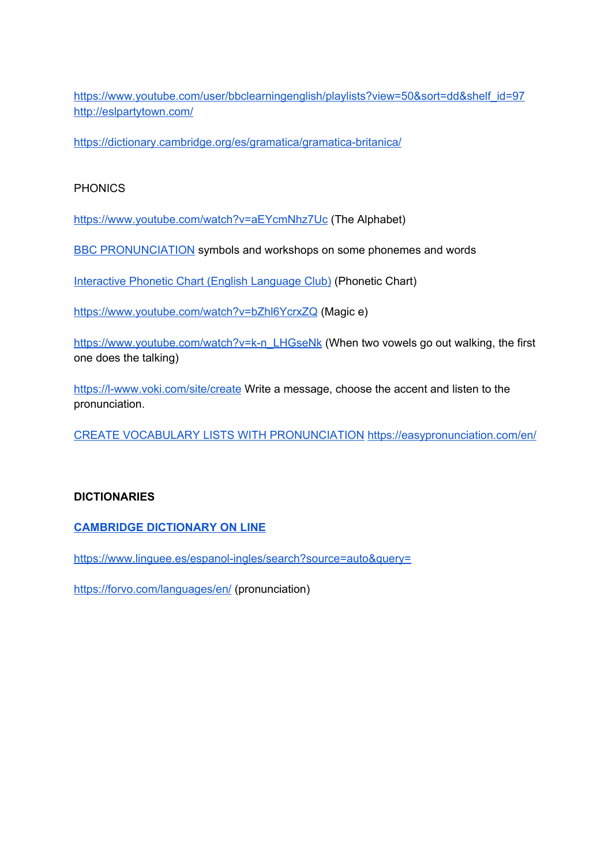[https://www.youtube.com/user/bbclearningenglish/playlists?view=50&sort=dd&shelf\\_id=97](https://www.youtube.com/user/bbclearningenglish/playlists?view=50&sort=dd&shelf_id=97) <http://eslpartytown.com/>

<https://dictionary.cambridge.org/es/gramatica/gramatica-britanica/>

### PHONICS

<https://www.youtube.com/watch?v=aEYcmNhz7Uc> (The Alphabet)

BBC [PRONUNCIATION](https://www.bbc.co.uk/learningenglish/english/features/pronunciation/introduction) symbols and workshops on some phonemes and words

[Interactive](https://youtu.be/0HeujZ45OZE?t=2) Phonetic Chart (English Language Club) (Phonetic Chart)

<https://www.youtube.com/watch?v=bZhl6YcrxZQ> (Magic e)

[https://www.youtube.com/watch?v=k-n\\_LHGseNk](https://www.youtube.com/watch?v=k-n_LHGseNk) (When two vowels go out walking, the first one does the talking)

<https://l-www.voki.com/site/create> Write a message, choose the accent and listen to the pronunciation.

CREATE VOCABULARY LISTS WITH [PRONUNCIATION](https://easypronunciation.com/en/) <https://easypronunciation.com/en/>

### **DICTIONARIES**

**CAMBRIDGE [DICTIONARY](https://dictionary.cambridge.org/) ON LINE**

<https://www.linguee.es/espanol-ingles/search?source=auto&query=>

<https://forvo.com/languages/en/> (pronunciation)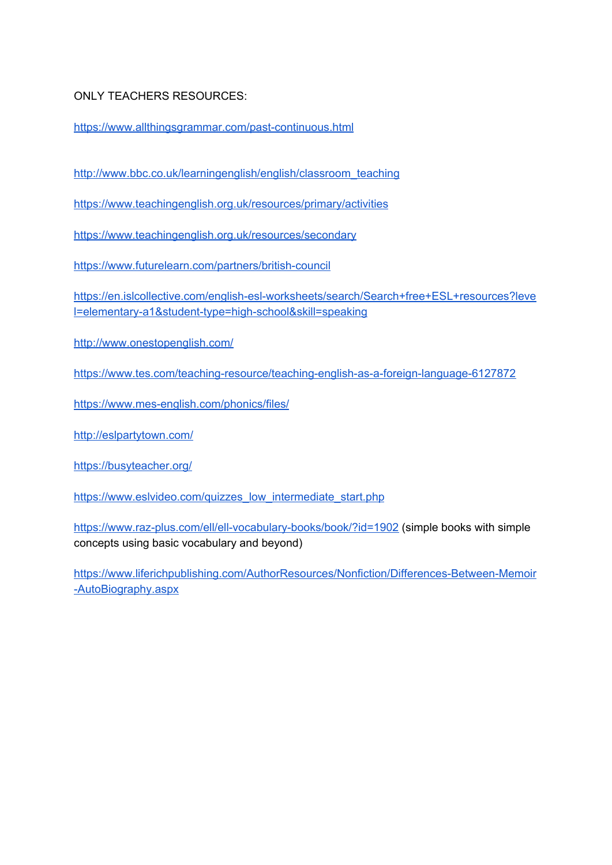ONLY TEACHERS RESOURCES:

<https://www.allthingsgrammar.com/past-continuous.html>

[http://www.bbc.co.uk/learningenglish/english/classroom\\_teaching](http://www.bbc.co.uk/learningenglish/english/classroom_teaching)

<https://www.teachingenglish.org.uk/resources/primary/activities>

<https://www.teachingenglish.org.uk/resources/secondary>

<https://www.futurelearn.com/partners/british-council>

[https://en.islcollective.com/english-esl-worksheets/search/Search+free+ESL+resources?leve](https://en.islcollective.com/english-esl-worksheets/search/Search+free+ESL+resources?level=elementary-a1&student-type=high-school&skill=speaking) [l=elementary-a1&student-type=high-school&skill=speaking](https://en.islcollective.com/english-esl-worksheets/search/Search+free+ESL+resources?level=elementary-a1&student-type=high-school&skill=speaking)

<http://www.onestopenglish.com/>

<https://www.tes.com/teaching-resource/teaching-english-as-a-foreign-language-6127872>

<https://www.mes-english.com/phonics/files/>

<http://eslpartytown.com/>

<https://busyteacher.org/>

[https://www.eslvideo.com/quizzes\\_low\\_intermediate\\_start.php](https://www.eslvideo.com/quizzes_low_intermediate_start.php)

<https://www.raz-plus.com/ell/ell-vocabulary-books/book/?id=1902> (simple books with simple concepts using basic vocabulary and beyond)

[https://www.liferichpublishing.com/AuthorResources/Nonfiction/Differences-Between-Memoir](https://www.liferichpublishing.com/AuthorResources/Nonfiction/Differences-Between-Memoir-AutoBiography.aspx) [-AutoBiography.aspx](https://www.liferichpublishing.com/AuthorResources/Nonfiction/Differences-Between-Memoir-AutoBiography.aspx)